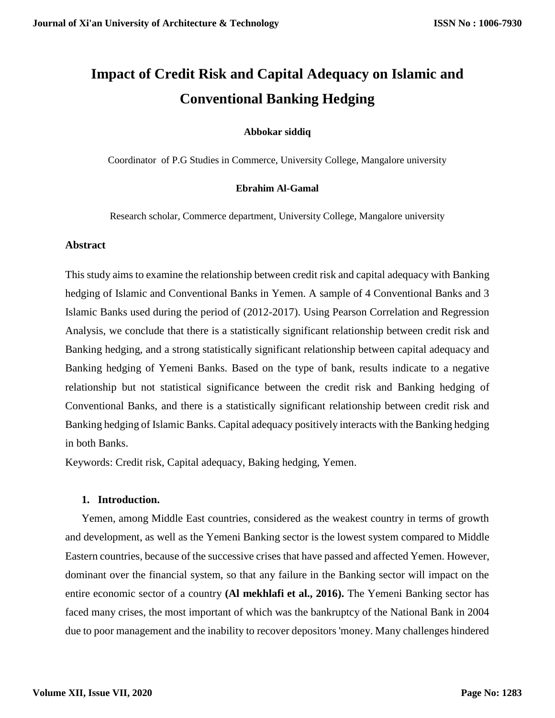# **Impact of Credit Risk and Capital Adequacy on Islamic and Conventional Banking Hedging**

## **Abbokar siddiq**

Coordinator of P.G Studies in Commerce, University College, Mangalore university

#### **Ebrahim Al-Gamal**

Research scholar, Commerce department, University College, Mangalore university

#### **Abstract**

This study aims to examine the relationship between credit risk and capital adequacy with Banking hedging of Islamic and Conventional Banks in Yemen. A sample of 4 Conventional Banks and 3 Islamic Banks used during the period of (2012-2017). Using Pearson Correlation and Regression Analysis, we conclude that there is a statistically significant relationship between credit risk and Banking hedging, and a strong statistically significant relationship between capital adequacy and Banking hedging of Yemeni Banks. Based on the type of bank, results indicate to a negative relationship but not statistical significance between the credit risk and Banking hedging of Conventional Banks, and there is a statistically significant relationship between credit risk and Banking hedging of Islamic Banks. Capital adequacy positively interacts with the Banking hedging in both Banks.

Keywords: Credit risk, Capital adequacy, Baking hedging, Yemen.

#### **1. Introduction.**

Yemen, among Middle East countries, considered as the weakest country in terms of growth and development, as well as the Yemeni Banking sector is the lowest system compared to Middle Eastern countries, because of the successive crises that have passed and affected Yemen. However, dominant over the financial system, so that any failure in the Banking sector will impact on the entire economic sector of a country **(Al mekhlafi et al., 2016).** The Yemeni Banking sector has faced many crises, the most important of which was the bankruptcy of the National Bank in 2004 due to poor management and the inability to recover depositors 'money. Many challenges hindered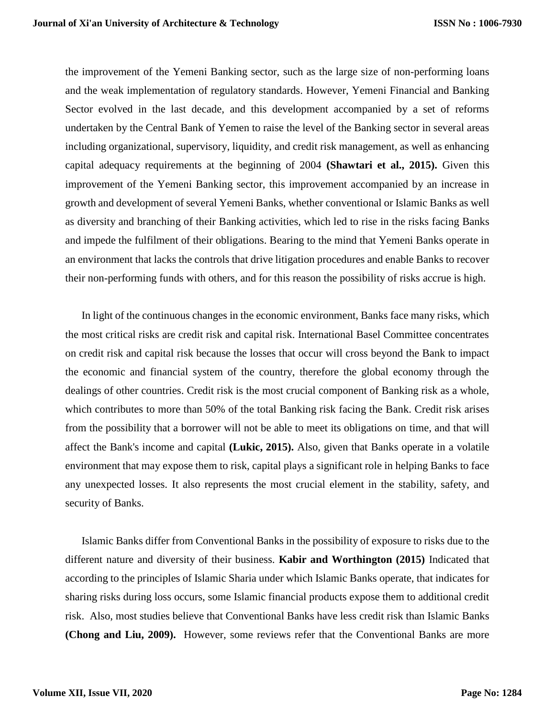the improvement of the Yemeni Banking sector, such as the large size of non-performing loans and the weak implementation of regulatory standards. However, Yemeni Financial and Banking Sector evolved in the last decade, and this development accompanied by a set of reforms undertaken by the Central Bank of Yemen to raise the level of the Banking sector in several areas including organizational, supervisory, liquidity, and credit risk management, as well as enhancing capital adequacy requirements at the beginning of 2004 **(Shawtari et al., 2015).** Given this improvement of the Yemeni Banking sector, this improvement accompanied by an increase in growth and development of several Yemeni Banks, whether conventional or Islamic Banks as well as diversity and branching of their Banking activities, which led to rise in the risks facing Banks and impede the fulfilment of their obligations. Bearing to the mind that Yemeni Banks operate in an environment that lacks the controls that drive litigation procedures and enable Banks to recover their non-performing funds with others, and for this reason the possibility of risks accrue is high.

In light of the continuous changes in the economic environment, Banks face many risks, which the most critical risks are credit risk and capital risk. International Basel Committee concentrates on credit risk and capital risk because the losses that occur will cross beyond the Bank to impact the economic and financial system of the country, therefore the global economy through the dealings of other countries. Credit risk is the most crucial component of Banking risk as a whole, which contributes to more than 50% of the total Banking risk facing the Bank. Credit risk arises from the possibility that a borrower will not be able to meet its obligations on time, and that will affect the Bank's income and capital **(Lukic, 2015).** Also, given that Banks operate in a volatile environment that may expose them to risk, capital plays a significant role in helping Banks to face any unexpected losses. It also represents the most crucial element in the stability, safety, and security of Banks.

Islamic Banks differ from Conventional Banks in the possibility of exposure to risks due to the different nature and diversity of their business. **Kabir and Worthington (2015)** Indicated that according to the principles of Islamic Sharia under which Islamic Banks operate, that indicates for sharing risks during loss occurs, some Islamic financial products expose them to additional credit risk. Also, most studies believe that Conventional Banks have less credit risk than Islamic Banks **(Chong and Liu, 2009).** However, some reviews refer that the Conventional Banks are more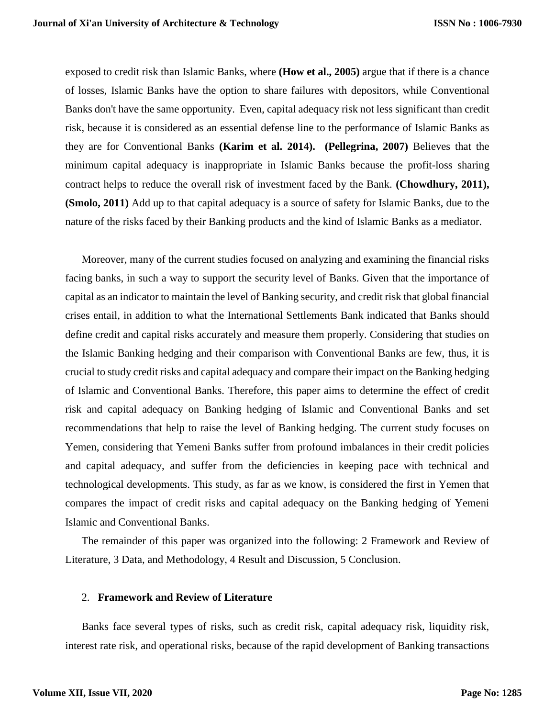exposed to credit risk than Islamic Banks, where **(How et al., 2005)** argue that if there is a chance of losses, Islamic Banks have the option to share failures with depositors, while Conventional Banks don't have the same opportunity. Even, capital adequacy risk not less significant than credit risk, because it is considered as an essential defense line to the performance of Islamic Banks as they are for Conventional Banks **(Karim et al. 2014). (Pellegrina, 2007)** Believes that the minimum capital adequacy is inappropriate in Islamic Banks because the profit-loss sharing contract helps to reduce the overall risk of investment faced by the Bank. **(Chowdhury, 2011), (Smolo, 2011)** Add up to that capital adequacy is a source of safety for Islamic Banks, due to the nature of the risks faced by their Banking products and the kind of Islamic Banks as a mediator.

Moreover, many of the current studies focused on analyzing and examining the financial risks facing banks, in such a way to support the security level of Banks. Given that the importance of capital as an indicator to maintain the level of Banking security, and credit risk that global financial crises entail, in addition to what the International Settlements Bank indicated that Banks should define credit and capital risks accurately and measure them properly. Considering that studies on the Islamic Banking hedging and their comparison with Conventional Banks are few, thus, it is crucial to study credit risks and capital adequacy and compare their impact on the Banking hedging of Islamic and Conventional Banks. Therefore, this paper aims to determine the effect of credit risk and capital adequacy on Banking hedging of Islamic and Conventional Banks and set recommendations that help to raise the level of Banking hedging. The current study focuses on Yemen, considering that Yemeni Banks suffer from profound imbalances in their credit policies and capital adequacy, and suffer from the deficiencies in keeping pace with technical and technological developments. This study, as far as we know, is considered the first in Yemen that compares the impact of credit risks and capital adequacy on the Banking hedging of Yemeni Islamic and Conventional Banks.

The remainder of this paper was organized into the following: 2 Framework and Review of Literature, 3 Data, and Methodology, 4 Result and Discussion, 5 Conclusion.

## 2. **Framework and Review of Literature**

Banks face several types of risks, such as credit risk, capital adequacy risk, liquidity risk, interest rate risk, and operational risks, because of the rapid development of Banking transactions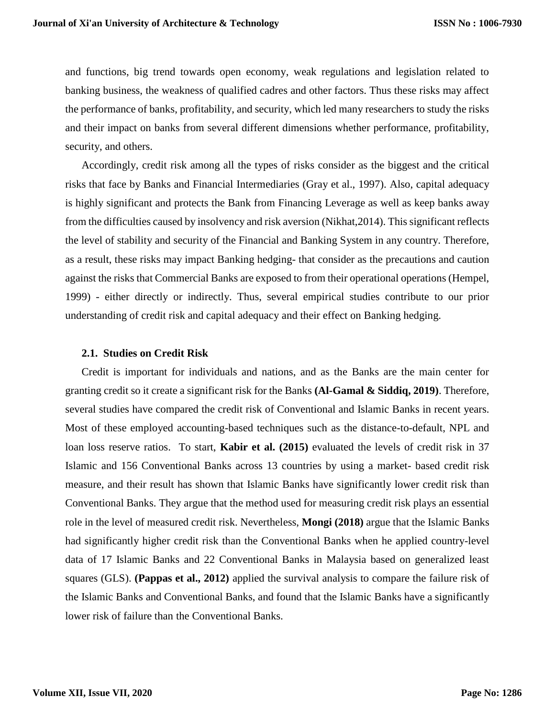and functions, big trend towards open economy, weak regulations and legislation related to banking business, the weakness of qualified cadres and other factors. Thus these risks may affect the performance of banks, profitability, and security, which led many researchers to study the risks and their impact on banks from several different dimensions whether performance, profitability, security, and others.

Accordingly, credit risk among all the types of risks consider as the biggest and the critical risks that face by Banks and Financial Intermediaries (Gray et al., 1997). Also, capital adequacy is highly significant and protects the Bank from Financing Leverage as well as keep banks away from the difficulties caused by insolvency and risk aversion (Nikhat,2014). This significant reflects the level of stability and security of the Financial and Banking System in any country. Therefore, as a result, these risks may impact Banking hedging- that consider as the precautions and caution against the risks that Commercial Banks are exposed to from their operational operations (Hempel, 1999) - either directly or indirectly. Thus, several empirical studies contribute to our prior understanding of credit risk and capital adequacy and their effect on Banking hedging.

#### **2.1. Studies on Credit Risk**

Credit is important for individuals and nations, and as the Banks are the main center for granting credit so it create a significant risk for the Banks **(Al-Gamal & Siddiq, 2019)**. Therefore, several studies have compared the credit risk of Conventional and Islamic Banks in recent years. Most of these employed accounting-based techniques such as the distance-to-default, NPL and loan loss reserve ratios. To start, **Kabir et al. (2015)** evaluated the levels of credit risk in 37 Islamic and 156 Conventional Banks across 13 countries by using a market- based credit risk measure, and their result has shown that Islamic Banks have significantly lower credit risk than Conventional Banks. They argue that the method used for measuring credit risk plays an essential role in the level of measured credit risk. Nevertheless, **Mongi (2018)** argue that the Islamic Banks had significantly higher credit risk than the Conventional Banks when he applied country-level data of 17 Islamic Banks and 22 Conventional Banks in Malaysia based on generalized least squares (GLS). **(Pappas et al., 2012)** applied the survival analysis to compare the failure risk of the Islamic Banks and Conventional Banks, and found that the Islamic Banks have a significantly lower risk of failure than the Conventional Banks.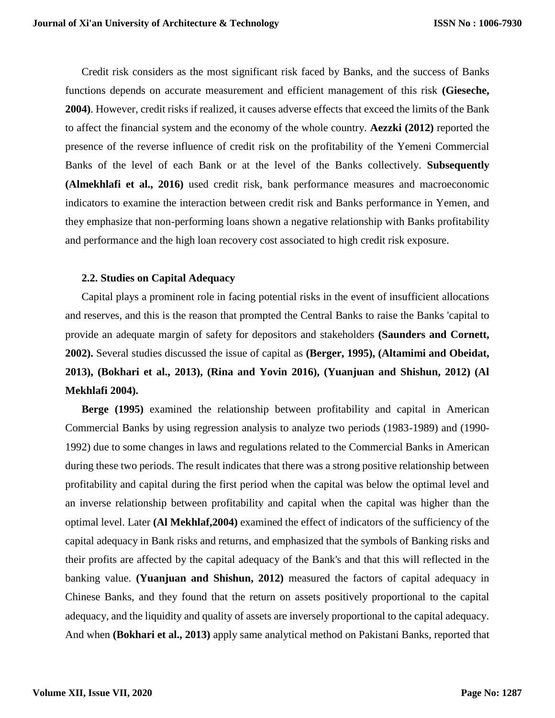Credit risk considers as the most significant risk faced by Banks, and the success of Banks functions depends on accurate measurement and efficient management of this risk **(Gieseche, 2004)**. However, credit risks if realized, it causes adverse effects that exceed the limits of the Bank to affect the financial system and the economy of the whole country. **Aezzki (2012)** reported the presence of the reverse influence of credit risk on the profitability of the Yemeni Commercial Banks of the level of each Bank or at the level of the Banks collectively. **Subsequently (Almekhlafi et al., 2016)** used credit risk, bank performance measures and macroeconomic indicators to examine the interaction between credit risk and Banks performance in Yemen, and they emphasize that non-performing loans shown a negative relationship with Banks profitability and performance and the high loan recovery cost associated to high credit risk exposure.

#### **2.2. Studies on Capital Adequacy**

Capital plays a prominent role in facing potential risks in the event of insufficient allocations and reserves, and this is the reason that prompted the Central Banks to raise the Banks 'capital to provide an adequate margin of safety for depositors and stakeholders **(Saunders and Cornett, 2002).** Several studies discussed the issue of capital as **(Berger, 1995), (Altamimi and Obeidat, 2013), (Bokhari et al., 2013), (Rina and Yovin 2016), (Yuanjuan and Shishun, 2012) (Al Mekhlafi 2004).**

**Berge (1995)** examined the relationship between profitability and capital in American Commercial Banks by using regression analysis to analyze two periods (1983-1989) and (1990- 1992) due to some changes in laws and regulations related to the Commercial Banks in American during these two periods. The result indicates that there was a strong positive relationship between profitability and capital during the first period when the capital was below the optimal level and an inverse relationship between profitability and capital when the capital was higher than the optimal level. Later **(Al Mekhlaf,2004)** examined the effect of indicators of the sufficiency of the capital adequacy in Bank risks and returns, and emphasized that the symbols of Banking risks and their profits are affected by the capital adequacy of the Bank's and that this will reflected in the banking value. **(Yuanjuan and Shishun, 2012)** measured the factors of capital adequacy in Chinese Banks, and they found that the return on assets positively proportional to the capital adequacy, and the liquidity and quality of assets are inversely proportional to the capital adequacy. And when **(Bokhari et al., 2013)** apply same analytical method on Pakistani Banks, reported that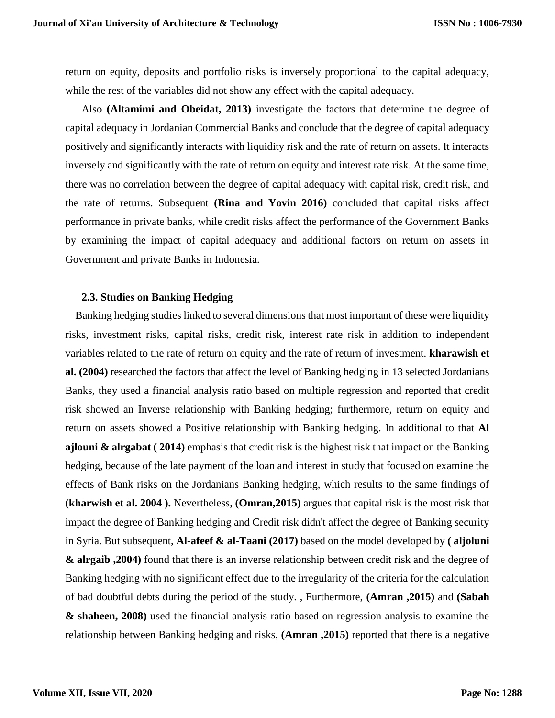return on equity, deposits and portfolio risks is inversely proportional to the capital adequacy, while the rest of the variables did not show any effect with the capital adequacy.

Also **(Altamimi and Obeidat, 2013)** investigate the factors that determine the degree of capital adequacy in Jordanian Commercial Banks and conclude that the degree of capital adequacy positively and significantly interacts with liquidity risk and the rate of return on assets. It interacts inversely and significantly with the rate of return on equity and interest rate risk. At the same time, there was no correlation between the degree of capital adequacy with capital risk, credit risk, and the rate of returns. Subsequent **(Rina and Yovin 2016)** concluded that capital risks affect performance in private banks, while credit risks affect the performance of the Government Banks by examining the impact of capital adequacy and additional factors on return on assets in Government and private Banks in Indonesia.

#### **2.3. Studies on Banking Hedging**

Banking hedging studies linked to several dimensions that most important of these were liquidity risks, investment risks, capital risks, credit risk, interest rate risk in addition to independent variables related to the rate of return on equity and the rate of return of investment. **kharawish et al. (2004)** researched the factors that affect the level of Banking hedging in 13 selected Jordanians Banks, they used a financial analysis ratio based on multiple regression and reported that credit risk showed an Inverse relationship with Banking hedging; furthermore, return on equity and return on assets showed a Positive relationship with Banking hedging. In additional to that **Al ajlouni & alrgabat ( 2014)** emphasis that credit risk is the highest risk that impact on the Banking hedging, because of the late payment of the loan and interest in study that focused on examine the effects of Bank risks on the Jordanians Banking hedging, which results to the same findings of **(kharwish et al. 2004 ).** Nevertheless, **(Omran,2015)** argues that capital risk is the most risk that impact the degree of Banking hedging and Credit risk didn't affect the degree of Banking security in Syria. But subsequent, **Al-afeef & al-Taani (2017)** based on the model developed by **( aljoluni & alrgaib ,2004)** found that there is an inverse relationship between credit risk and the degree of Banking hedging with no significant effect due to the irregularity of the criteria for the calculation of bad doubtful debts during the period of the study. , Furthermore, **(Amran ,2015)** and **(Sabah & shaheen, 2008)** used the financial analysis ratio based on regression analysis to examine the relationship between Banking hedging and risks, **(Amran ,2015)** reported that there is a negative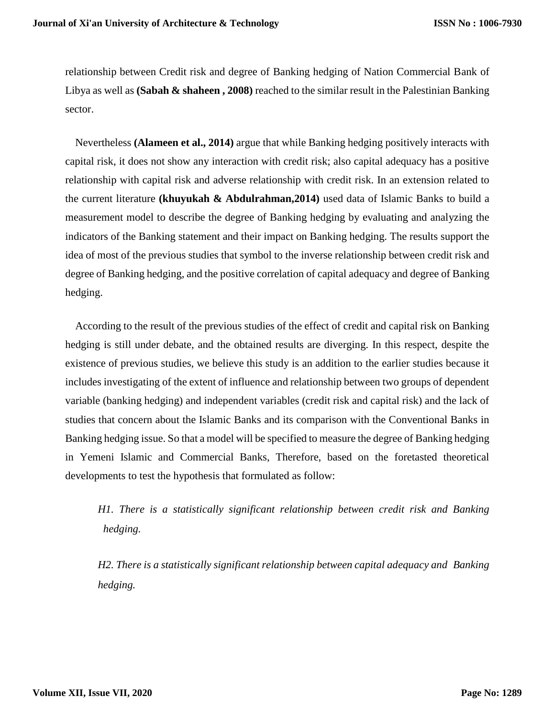relationship between Credit risk and degree of Banking hedging of Nation Commercial Bank of Libya as well as **(Sabah & shaheen , 2008)** reached to the similar result in the Palestinian Banking sector.

Nevertheless **(Alameen et al., 2014)** argue that while Banking hedging positively interacts with capital risk, it does not show any interaction with credit risk; also capital adequacy has a positive relationship with capital risk and adverse relationship with credit risk. In an extension related to the current literature **(khuyukah & Abdulrahman,2014)** used data of Islamic Banks to build a measurement model to describe the degree of Banking hedging by evaluating and analyzing the indicators of the Banking statement and their impact on Banking hedging. The results support the idea of most of the previous studies that symbol to the inverse relationship between credit risk and degree of Banking hedging, and the positive correlation of capital adequacy and degree of Banking hedging.

According to the result of the previous studies of the effect of credit and capital risk on Banking hedging is still under debate, and the obtained results are diverging. In this respect, despite the existence of previous studies, we believe this study is an addition to the earlier studies because it includes investigating of the extent of influence and relationship between two groups of dependent variable (banking hedging) and independent variables (credit risk and capital risk) and the lack of studies that concern about the Islamic Banks and its comparison with the Conventional Banks in Banking hedging issue. So that a model will be specified to measure the degree of Banking hedging in Yemeni Islamic and Commercial Banks, Therefore, based on the foretasted theoretical developments to test the hypothesis that formulated as follow:

*H1. There is a statistically significant relationship between credit risk and Banking hedging.*

*H2. There is a statistically significant relationship between capital adequacy and Banking hedging.*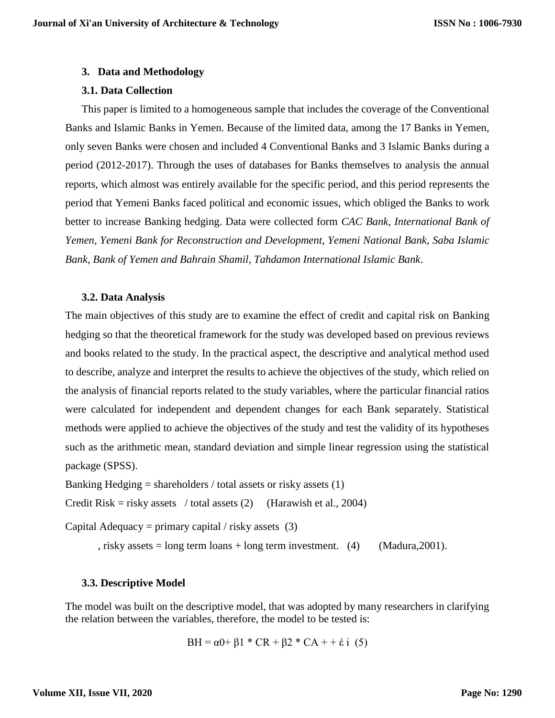## **3. Data and Methodology**

## **3.1. Data Collection**

This paper is limited to a homogeneous sample that includes the coverage of the Conventional Banks and Islamic Banks in Yemen. Because of the limited data, among the 17 Banks in Yemen, only seven Banks were chosen and included 4 Conventional Banks and 3 Islamic Banks during a period (2012-2017). Through the uses of databases for Banks themselves to analysis the annual reports, which almost was entirely available for the specific period, and this period represents the period that Yemeni Banks faced political and economic issues, which obliged the Banks to work better to increase Banking hedging. Data were collected form *CAC Bank, International Bank of Yemen, Yemeni Bank for Reconstruction and Development, Yemeni National Bank, Saba Islamic Bank, Bank of Yemen and Bahrain Shamil, Tahdamon International Islamic Bank*.

## **3.2. Data Analysis**

The main objectives of this study are to examine the effect of credit and capital risk on Banking hedging so that the theoretical framework for the study was developed based on previous reviews and books related to the study. In the practical aspect, the descriptive and analytical method used to describe, analyze and interpret the results to achieve the objectives of the study, which relied on the analysis of financial reports related to the study variables, where the particular financial ratios were calculated for independent and dependent changes for each Bank separately. Statistical methods were applied to achieve the objectives of the study and test the validity of its hypotheses such as the arithmetic mean, standard deviation and simple linear regression using the statistical package (SPSS).

Banking Hedging  $=$  shareholders / total assets or risky assets (1)

Credit Risk = risky assets / total assets  $(2)$  (Harawish et al., 2004)

Capital Adequacy = primary capital  $/$  risky assets (3)

, risky assets = long term loans + long term investment. (4) (Madura, 2001).

## **3.3. Descriptive Model**

The model was built on the descriptive model, that was adopted by many researchers in clarifying the relation between the variables, therefore, the model to be tested is:

$$
BH = \alpha 0 + \beta 1 * CR + \beta 2 * CA + + \epsilon i (5)
$$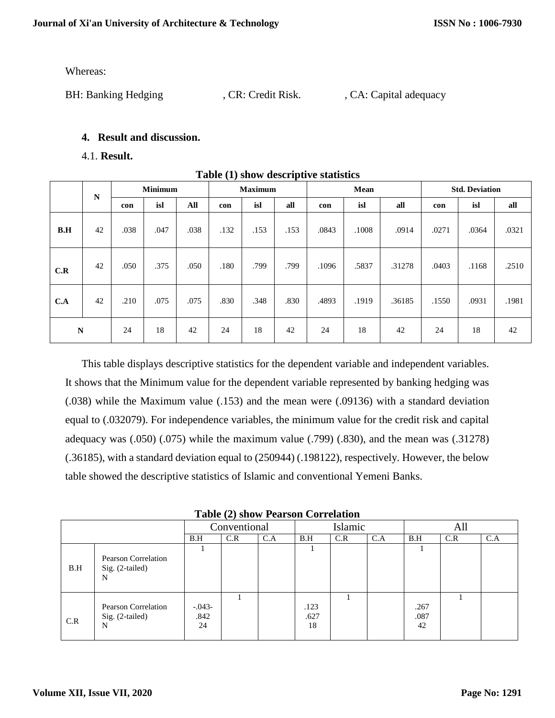Whereas:

| BH: Banking Hedging<br>, CR: Credit Risk. | , CA: Capital adequacy |
|-------------------------------------------|------------------------|
|-------------------------------------------|------------------------|

## **4. Result and discussion.**

4.1. **Result.**

|             | Table (1) show acsert that c statistics |                |      |      |                |      |      |       |       |                       |       |       |       |
|-------------|-----------------------------------------|----------------|------|------|----------------|------|------|-------|-------|-----------------------|-------|-------|-------|
|             | N                                       | <b>Minimum</b> |      |      | <b>Maximum</b> |      | Mean |       |       | <b>Std. Deviation</b> |       |       |       |
|             |                                         | con            | isl  | All  | con            | isl  | all  | con   | isl   | all                   | con   | isl   | all   |
| B.H         | 42                                      | .038           | .047 | .038 | .132           | .153 | .153 | .0843 | .1008 | .0914                 | .0271 | .0364 | .0321 |
| C.R         | 42                                      | .050           | .375 | .050 | .180           | .799 | .799 | .1096 | .5837 | .31278                | .0403 | .1168 | .2510 |
| C.A         | 42                                      | .210           | .075 | .075 | .830           | .348 | .830 | .4893 | .1919 | .36185                | .1550 | .0931 | .1981 |
| $\mathbf N$ |                                         | 24             | 18   | 42   | 24             | 18   | 42   | 24    | 18    | 42                    | 24    | 18    | 42    |

**Table (1) show descriptive statistics**

This table displays descriptive statistics for the dependent variable and independent variables. It shows that the Minimum value for the dependent variable represented by banking hedging was (.038) while the Maximum value (.153) and the mean were (.09136) with a standard deviation equal to (.032079). For independence variables, the minimum value for the credit risk and capital adequacy was (.050) (.075) while the maximum value (.799) (.830), and the mean was (.31278) (.36185), with a standard deviation equal to (250944) (.198122), respectively. However, the below table showed the descriptive statistics of Islamic and conventional Yemeni Banks.

|  |  | <b>Table (2) show Pearson Correlation</b> |  |  |
|--|--|-------------------------------------------|--|--|
|--|--|-------------------------------------------|--|--|

|     |                                             | Conventional             |     |     | Islamic            |     |     | All                |     |     |
|-----|---------------------------------------------|--------------------------|-----|-----|--------------------|-----|-----|--------------------|-----|-----|
|     |                                             | B.H                      | C.R | C.A | B.H                | C.R | C.A | B.H                | C.R | C.A |
| B.H | Pearson Correlation<br>Sig. (2-tailed)<br>N |                          |     |     |                    |     |     |                    |     |     |
| C.R | Pearson Correlation<br>Sig. (2-tailed)<br>N | $-0.043 -$<br>.842<br>24 |     |     | .123<br>.627<br>18 |     |     | .267<br>.087<br>42 |     |     |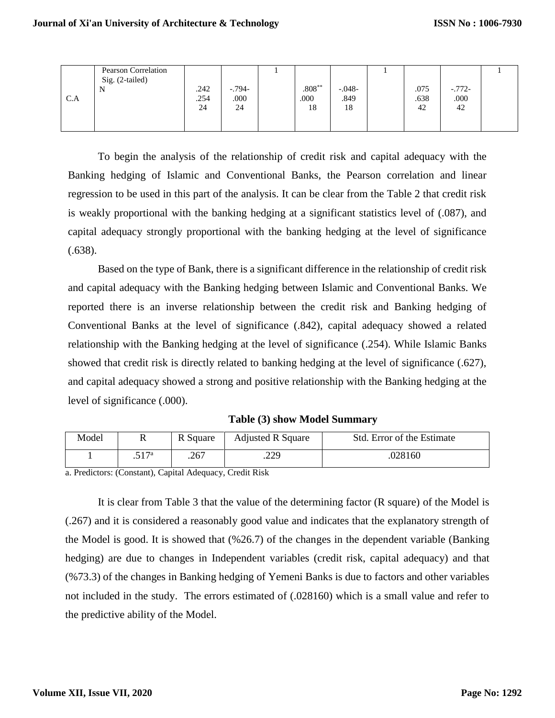|     | Pearson Correlation<br>Sig. (2-tailed) |              |                  |                  |                  |              |                  |  |
|-----|----------------------------------------|--------------|------------------|------------------|------------------|--------------|------------------|--|
| C.A | N                                      | .242<br>.254 | $-.794-$<br>.000 | $.808**$<br>.000 | $-.048-$<br>.849 | .075<br>.638 | $-.772-$<br>.000 |  |
|     |                                        | 24           | 24               | 18               | 18               | 42           | 42               |  |
|     |                                        |              |                  |                  |                  |              |                  |  |

To begin the analysis of the relationship of credit risk and capital adequacy with the Banking hedging of Islamic and Conventional Banks, the Pearson correlation and linear regression to be used in this part of the analysis. It can be clear from the Table 2 that credit risk is weakly proportional with the banking hedging at a significant statistics level of (.087), and capital adequacy strongly proportional with the banking hedging at the level of significance (.638).

Based on the type of Bank, there is a significant difference in the relationship of credit risk and capital adequacy with the Banking hedging between Islamic and Conventional Banks. We reported there is an inverse relationship between the credit risk and Banking hedging of Conventional Banks at the level of significance (.842), capital adequacy showed a related relationship with the Banking hedging at the level of significance (.254). While Islamic Banks showed that credit risk is directly related to banking hedging at the level of significance (.627), and capital adequacy showed a strong and positive relationship with the Banking hedging at the level of significance (.000).

|  |  | Table (3) show Model Summary |  |
|--|--|------------------------------|--|
|  |  |                              |  |

| Model | 17   | R Square | <b>Adjusted R Square</b> | Std. Error of the Estimate |
|-------|------|----------|--------------------------|----------------------------|
|       | 517a | .267     | 220<br>. د ک             | 028160                     |

a. Predictors: (Constant), Capital Adequacy, Credit Risk

It is clear from Table 3 that the value of the determining factor (R square) of the Model is (.267) and it is considered a reasonably good value and indicates that the explanatory strength of the Model is good. It is showed that (%26.7) of the changes in the dependent variable (Banking hedging) are due to changes in Independent variables (credit risk, capital adequacy) and that (%73.3) of the changes in Banking hedging of Yemeni Banks is due to factors and other variables not included in the study. The errors estimated of (.028160) which is a small value and refer to the predictive ability of the Model.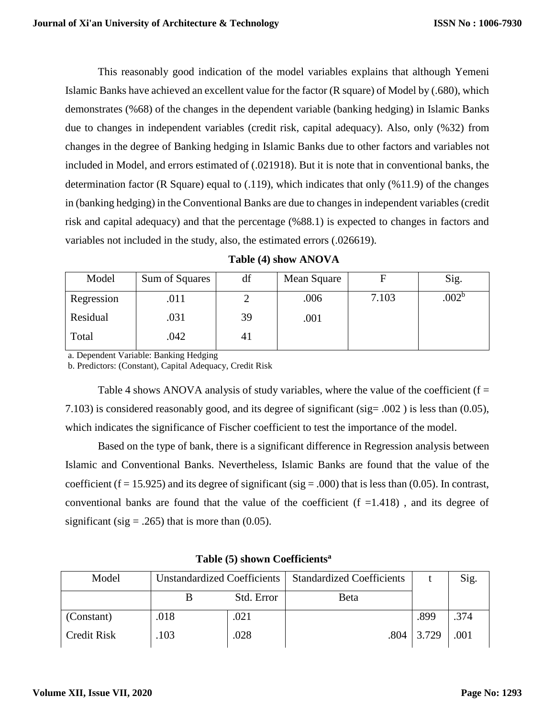This reasonably good indication of the model variables explains that although Yemeni Islamic Banks have achieved an excellent value for the factor (R square) of Model by (.680), which demonstrates (%68) of the changes in the dependent variable (banking hedging) in Islamic Banks due to changes in independent variables (credit risk, capital adequacy). Also, only (%32) from changes in the degree of Banking hedging in Islamic Banks due to other factors and variables not included in Model, and errors estimated of (.021918). But it is note that in conventional banks, the determination factor (R Square) equal to (.119), which indicates that only (%11.9) of the changes in (banking hedging) in the Conventional Banks are due to changes in independent variables (credit risk and capital adequacy) and that the percentage (%88.1) is expected to changes in factors and variables not included in the study, also, the estimated errors (.026619).

| Table (4) show ANOVA |  |  |  |  |
|----------------------|--|--|--|--|
|----------------------|--|--|--|--|

| Model      | Sum of Squares | df | Mean Square |       | Sig.              |
|------------|----------------|----|-------------|-------|-------------------|
| Regression | .011           |    | .006        | 7.103 | .002 <sup>b</sup> |
| Residual   | .031           | 39 | .001        |       |                   |
| Total      | .042           | 41 |             |       |                   |

a. Dependent Variable: Banking Hedging

b. Predictors: (Constant), Capital Adequacy, Credit Risk

Table 4 shows ANOVA analysis of study variables, where the value of the coefficient ( $f =$ 7.103) is considered reasonably good, and its degree of significant (sig= .002 ) is less than (0.05), which indicates the significance of Fischer coefficient to test the importance of the model.

Based on the type of bank, there is a significant difference in Regression analysis between Islamic and Conventional Banks. Nevertheless, Islamic Banks are found that the value of the coefficient (f = 15.925) and its degree of significant (sig = .000) that is less than (0.05). In contrast, conventional banks are found that the value of the coefficient  $(f = 1.418)$ , and its degree of significant (sig = .265) that is more than  $(0.05)$ .

| Model              | <b>Unstandardized Coefficients</b> |            | <b>Standardized Coefficients</b> |                   | Sig. |
|--------------------|------------------------------------|------------|----------------------------------|-------------------|------|
|                    |                                    | Std. Error | Beta                             |                   |      |
| (Constant)         | .018                               | .021       |                                  | .899              | .374 |
| <b>Credit Risk</b> | .103                               | .028       |                                  | $.804 \mid 3.729$ | .001 |

## **Table (5) shown Coefficients<sup>a</sup>**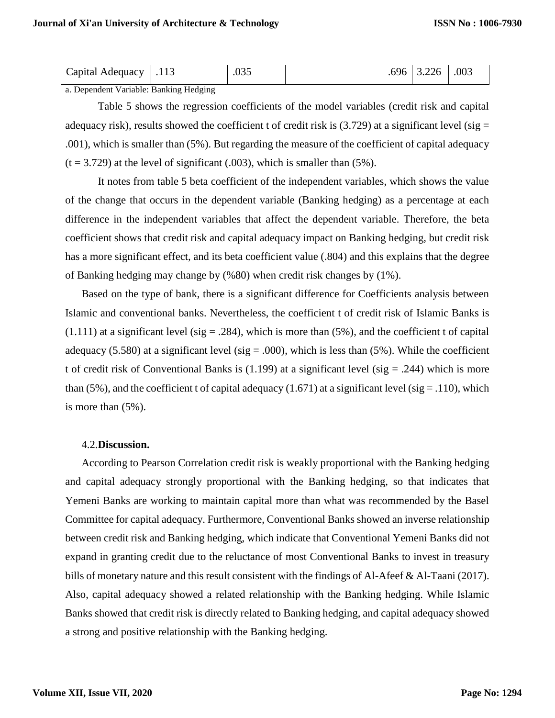| Capital Adequacy 113 | .035 | $.696 \mid 3.226 \mid .003$ |  |
|----------------------|------|-----------------------------|--|
|                      |      |                             |  |

a. Dependent Variable: Banking Hedging

Table 5 shows the regression coefficients of the model variables (credit risk and capital adequacy risk), results showed the coefficient t of credit risk is  $(3.729)$  at a significant level (sig = .001), which is smaller than (5%). But regarding the measure of the coefficient of capital adequacy  $(t = 3.729)$  at the level of significant (.003), which is smaller than (5%).

It notes from table 5 beta coefficient of the independent variables, which shows the value of the change that occurs in the dependent variable (Banking hedging) as a percentage at each difference in the independent variables that affect the dependent variable. Therefore, the beta coefficient shows that credit risk and capital adequacy impact on Banking hedging, but credit risk has a more significant effect, and its beta coefficient value (.804) and this explains that the degree of Banking hedging may change by (%80) when credit risk changes by (1%).

Based on the type of bank, there is a significant difference for Coefficients analysis between Islamic and conventional banks. Nevertheless, the coefficient t of credit risk of Islamic Banks is  $(1.111)$  at a significant level (sig = .284), which is more than (5%), and the coefficient t of capital adequacy (5.580) at a significant level (sig = .000), which is less than (5%). While the coefficient t of credit risk of Conventional Banks is  $(1.199)$  at a significant level  $(sig = .244)$  which is more than (5%), and the coefficient t of capital adequacy (1.671) at a significant level (sig = .110), which is more than (5%).

#### 4.2.**Discussion.**

According to Pearson Correlation credit risk is weakly proportional with the Banking hedging and capital adequacy strongly proportional with the Banking hedging, so that indicates that Yemeni Banks are working to maintain capital more than what was recommended by the Basel Committee for capital adequacy. Furthermore, Conventional Banks showed an inverse relationship between credit risk and Banking hedging, which indicate that Conventional Yemeni Banks did not expand in granting credit due to the reluctance of most Conventional Banks to invest in treasury bills of monetary nature and this result consistent with the findings of Al-Afeef & Al-Taani (2017). Also, capital adequacy showed a related relationship with the Banking hedging. While Islamic Banks showed that credit risk is directly related to Banking hedging, and capital adequacy showed a strong and positive relationship with the Banking hedging.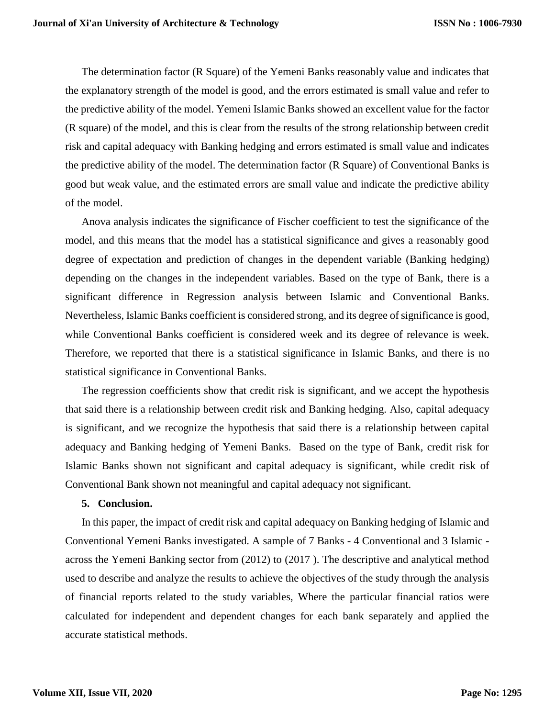The determination factor (R Square) of the Yemeni Banks reasonably value and indicates that the explanatory strength of the model is good, and the errors estimated is small value and refer to the predictive ability of the model. Yemeni Islamic Banks showed an excellent value for the factor (R square) of the model, and this is clear from the results of the strong relationship between credit risk and capital adequacy with Banking hedging and errors estimated is small value and indicates the predictive ability of the model. The determination factor (R Square) of Conventional Banks is good but weak value, and the estimated errors are small value and indicate the predictive ability of the model.

Anova analysis indicates the significance of Fischer coefficient to test the significance of the model, and this means that the model has a statistical significance and gives a reasonably good degree of expectation and prediction of changes in the dependent variable (Banking hedging) depending on the changes in the independent variables. Based on the type of Bank, there is a significant difference in Regression analysis between Islamic and Conventional Banks. Nevertheless, Islamic Banks coefficient is considered strong, and its degree of significance is good, while Conventional Banks coefficient is considered week and its degree of relevance is week. Therefore, we reported that there is a statistical significance in Islamic Banks, and there is no statistical significance in Conventional Banks.

The regression coefficients show that credit risk is significant, and we accept the hypothesis that said there is a relationship between credit risk and Banking hedging. Also, capital adequacy is significant, and we recognize the hypothesis that said there is a relationship between capital adequacy and Banking hedging of Yemeni Banks. Based on the type of Bank, credit risk for Islamic Banks shown not significant and capital adequacy is significant, while credit risk of Conventional Bank shown not meaningful and capital adequacy not significant.

#### **5. Conclusion.**

In this paper, the impact of credit risk and capital adequacy on Banking hedging of Islamic and Conventional Yemeni Banks investigated. A sample of 7 Banks - 4 Conventional and 3 Islamic across the Yemeni Banking sector from (2012) to (2017 ). The descriptive and analytical method used to describe and analyze the results to achieve the objectives of the study through the analysis of financial reports related to the study variables, Where the particular financial ratios were calculated for independent and dependent changes for each bank separately and applied the accurate statistical methods.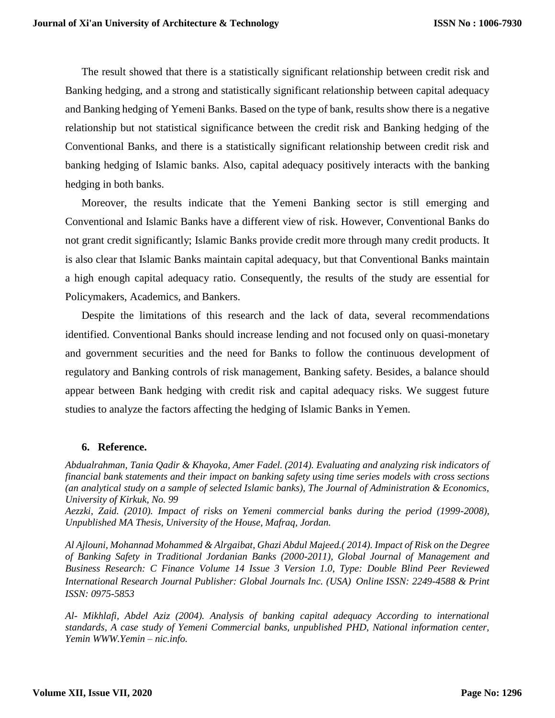The result showed that there is a statistically significant relationship between credit risk and Banking hedging, and a strong and statistically significant relationship between capital adequacy and Banking hedging of Yemeni Banks. Based on the type of bank, results show there is a negative relationship but not statistical significance between the credit risk and Banking hedging of the Conventional Banks, and there is a statistically significant relationship between credit risk and banking hedging of Islamic banks. Also, capital adequacy positively interacts with the banking hedging in both banks.

Moreover, the results indicate that the Yemeni Banking sector is still emerging and Conventional and Islamic Banks have a different view of risk. However, Conventional Banks do not grant credit significantly; Islamic Banks provide credit more through many credit products. It is also clear that Islamic Banks maintain capital adequacy, but that Conventional Banks maintain a high enough capital adequacy ratio. Consequently, the results of the study are essential for Policymakers, Academics, and Bankers.

Despite the limitations of this research and the lack of data, several recommendations identified. Conventional Banks should increase lending and not focused only on quasi-monetary and government securities and the need for Banks to follow the continuous development of regulatory and Banking controls of risk management, Banking safety. Besides, a balance should appear between Bank hedging with credit risk and capital adequacy risks. We suggest future studies to analyze the factors affecting the hedging of Islamic Banks in Yemen.

## **6. Reference.**

*Abdualrahman, Tania Qadir & Khayoka, Amer Fadel. (2014). Evaluating and analyzing risk indicators of financial bank statements and their impact on banking safety using time series models with cross sections (an analytical study on a sample of selected Islamic banks), The Journal of Administration & Economics, University of Kirkuk, No. 99*

*Aezzki, Zaid. (2010). Impact of risks on Yemeni commercial banks during the period (1999-2008), Unpublished MA Thesis, University of the House, Mafraq, Jordan.* 

*Al Ajlouni, Mohannad Mohammed & Alrgaibat, Ghazi Abdul Majeed.( 2014). Impact of Risk on the Degree of Banking Safety in Traditional Jordanian Banks (2000-2011), Global Journal of Management and Business Research: C Finance Volume 14 Issue 3 Version 1.0, Type: Double Blind Peer Reviewed International Research Journal Publisher: Global Journals Inc. (USA) Online ISSN: 2249-4588 & Print ISSN: 0975-5853* 

*Al- Mikhlafi, Abdel Aziz (2004). Analysis of banking capital adequacy According to international standards, A case study of Yemeni Commercial banks, unpublished PHD, National information center, Yemin WWW.Yemin – nic.info.*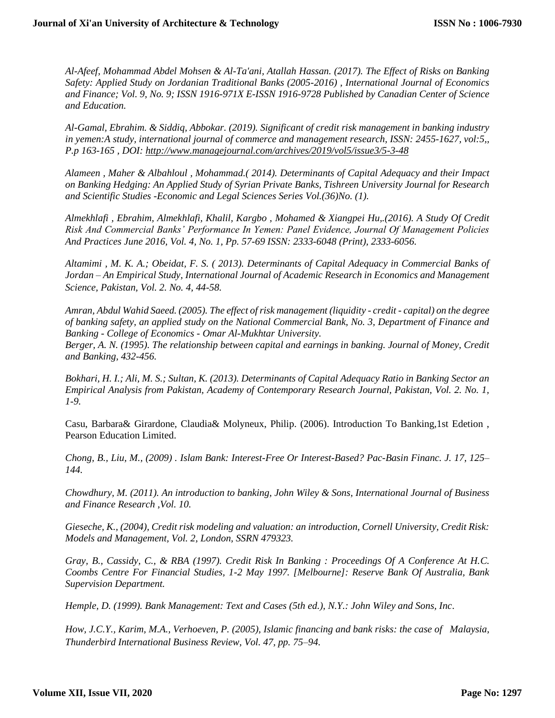*Al-Afeef, Mohammad Abdel Mohsen & Al-Ta'ani, Atallah Hassan. (2017). The Effect of Risks on Banking Safety: Applied Study on Jordanian Traditional Banks (2005-2016) , International Journal of Economics and Finance; Vol. 9, No. 9; ISSN 1916-971X E-ISSN 1916-9728 Published by Canadian Center of Science and Education.*

*Al-Gamal, Ebrahim. & Siddiq, Abbokar. (2019). Significant of credit risk management in banking industry in yemen:A study, international journal of commerce and management research, ISSN: 2455-1627, vol:5,, P.p 163-165 , DOI: <http://www.managejournal.com/archives/2019/vol5/issue3/5-3-48>*

*Alameen , Maher & Albahloul , Mohammad.( 2014). Determinants of Capital Adequacy and their Impact on Banking Hedging: An Applied Study of Syrian Private Banks, Tishreen University Journal for Research and Scientific Studies -Economic and Legal Sciences Series Vol.(36)No. (1).*

*Almekhlafi , Ebrahim, Almekhlafi, Khalil, Kargbo , Mohamed & Xiangpei Hu,.(2016). A Study Of Credit Risk And Commercial Banks' Performance In Yemen: Panel Evidence, Journal Of Management Policies And Practices June 2016, Vol. 4, No. 1, Pp. 57-69 ISSN: 2333-6048 (Print), 2333-6056.*

*Altamimi , M. K. A.; Obeidat, F. S. ( 2013). Determinants of Capital Adequacy in Commercial Banks of Jordan – An Empirical Study, International Journal of Academic Research in Economics and Management Science, Pakistan, Vol. 2. No. 4, 44-58.* 

*Amran, Abdul Wahid Saeed. (2005). The effect of risk management (liquidity - credit - capital) on the degree of banking safety, an applied study on the National Commercial Bank, No. 3, Department of Finance and Banking - College of Economics - Omar Al-Mukhtar University.*

*Berger, A. N. (1995). The relationship between capital and earnings in banking. Journal of Money, Credit and Banking, 432-456.* 

*Bokhari, H. I.; Ali, M. S.; Sultan, K. (2013). Determinants of Capital Adequacy Ratio in Banking Sector an Empirical Analysis from Pakistan, Academy of Contemporary Research Journal, Pakistan, Vol. 2. No. 1, 1-9.* 

Casu, Barbara& Girardone, Claudia& Molyneux, Philip. (2006). Introduction To Banking,1st Edetion , Pearson Education Limited.

*Chong, B., Liu, M., (2009) . Islam Bank: Interest-Free Or Interest-Based? Pac-Basin Financ. J. 17, 125– 144.*

*Chowdhury, M. (2011). An introduction to banking, John Wiley & Sons, International Journal of Business and Finance Research ,Vol. 10.*

*Gieseche, K., (2004), Credit risk modeling and valuation: an introduction, Cornell University, Credit Risk: Models and Management, Vol. 2, London, SSRN 479323.* 

*Gray, B., Cassidy, C., & RBA (1997). Credit Risk In Banking : Proceedings Of A Conference At H.C. Coombs Centre For Financial Studies, 1-2 May 1997. [Melbourne]: Reserve Bank Of Australia, Bank Supervision Department.* 

*Hemple, D. (1999). Bank Management: Text and Cases (5th ed.), N.Y.: John Wiley and Sons, Inc*.

*How, J.C.Y., Karim, M.A., Verhoeven, P. (2005), Islamic financing and bank risks: the case of Malaysia, Thunderbird International Business Review, Vol. 47, pp. 75–94.*